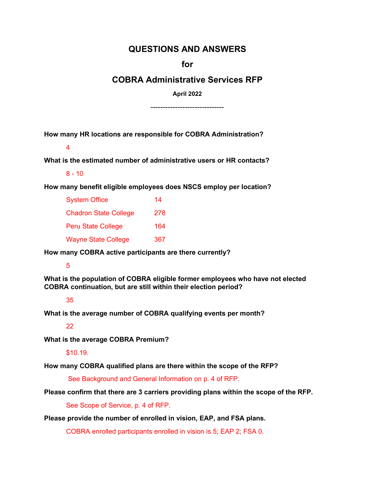# **QUESTIONS AND ANSWERS**

**for**

## **COBRA Administrative Services RFP**

**April 2022**

------------------------------

**How many HR locations are responsible for COBRA Administration?** 

4

**What is the estimated number of administrative users or HR contacts?** 

 $8 - 10$ 

**How many benefit eligible employees does NSCS employ per location?** 

| <b>System Office</b>         | 14  |
|------------------------------|-----|
| <b>Chadron State College</b> | 278 |
| <b>Peru State College</b>    | 164 |
| <b>Wayne State College</b>   | 367 |

**How many COBRA active participants are there currently?** 

### 5

**What is the population of COBRA eligible former employees who have not elected COBRA continuation, but are still within their election period?** 

### 35

**What is the average number of COBRA qualifying events per month?** 

### 22

**What is the average COBRA Premium?** 

#### \$10.19.

**How many COBRA qualified plans are there within the scope of the RFP?**

See Background and General Information on p. 4 of RFP.

**Please confirm that there are 3 carriers providing plans within the scope of the RFP.** 

See Scope of Service, p. 4 of RFP.

**Please provide the number of enrolled in vision, EAP, and FSA plans.** 

COBRA enrolled participants enrolled in vision is 5; EAP 2; FSA 0.